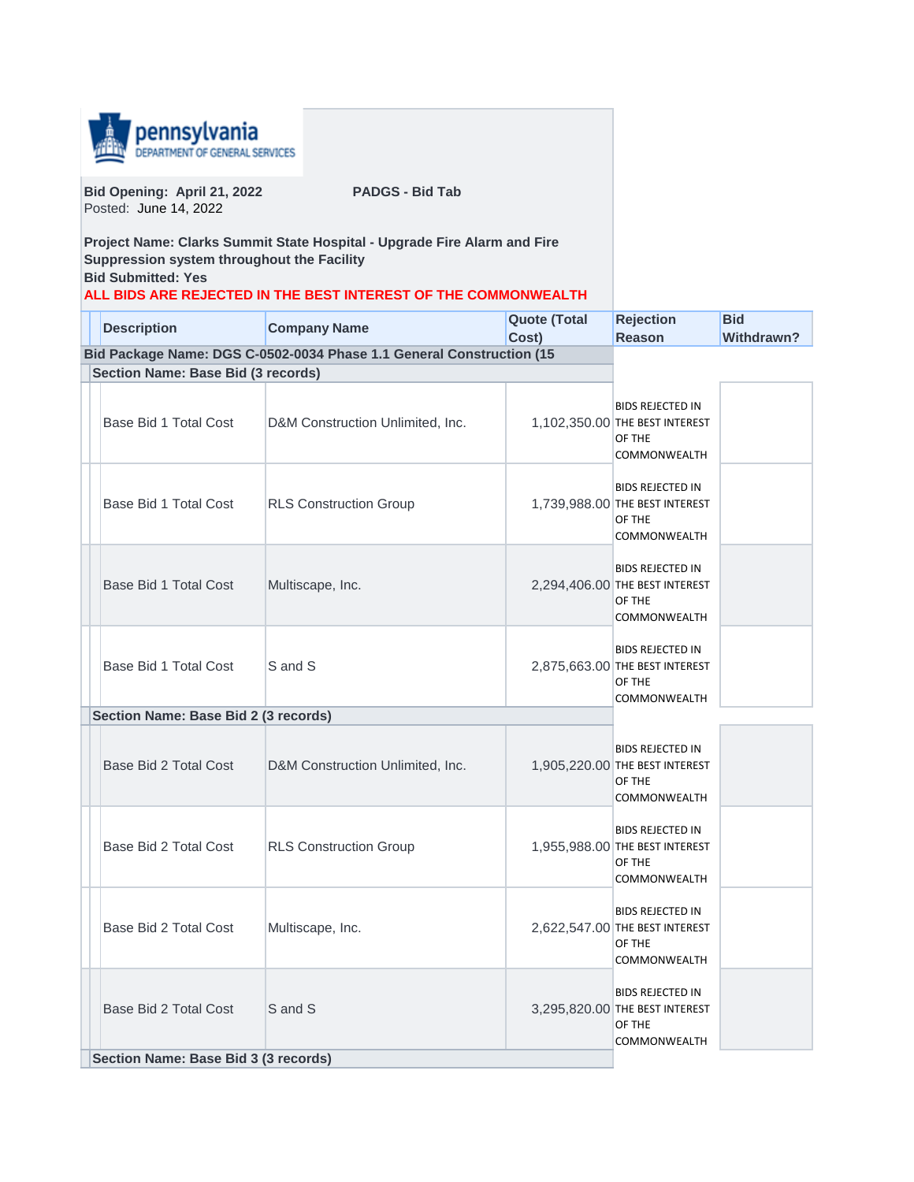

**Bid Opening: April 21, 2022 PADGS - Bid Tab** Posted: June 14, 2022

**Project Name: Clarks Summit State Hospital - Upgrade Fire Alarm and Fire Suppression system throughout the Facility Bid Submitted: Yes**

## **ALL BIDS ARE REJECTED IN THE BEST INTEREST OF THE COMMONWEALTH**

| <b>Description</b>                   | <b>Company Name</b>                                                  | <b>Quote (Total</b><br>Cost) | <b>Rejection</b><br><b>Reason</b>                                                          | <b>Bid</b><br><b>Withdrawn?</b> |
|--------------------------------------|----------------------------------------------------------------------|------------------------------|--------------------------------------------------------------------------------------------|---------------------------------|
|                                      | Bid Package Name: DGS C-0502-0034 Phase 1.1 General Construction (15 |                              |                                                                                            |                                 |
| Section Name: Base Bid (3 records)   |                                                                      |                              |                                                                                            |                                 |
| Base Bid 1 Total Cost                | D&M Construction Unlimited, Inc.                                     |                              | <b>BIDS REJECTED IN</b><br>1,102,350.00 THE BEST INTEREST<br>OF THE<br><b>COMMONWEALTH</b> |                                 |
| Base Bid 1 Total Cost                | <b>RLS Construction Group</b>                                        |                              | <b>BIDS REJECTED IN</b><br>1,739,988.00 THE BEST INTEREST<br>OF THE<br><b>COMMONWEALTH</b> |                                 |
| Base Bid 1 Total Cost                | Multiscape, Inc.                                                     |                              | <b>BIDS REJECTED IN</b><br>2,294,406.00 THE BEST INTEREST<br>OF THE<br><b>COMMONWEALTH</b> |                                 |
| Base Bid 1 Total Cost                | S and S                                                              |                              | <b>BIDS REJECTED IN</b><br>2,875,663.00 THE BEST INTEREST<br>OF THE<br>COMMONWEALTH        |                                 |
| Section Name: Base Bid 2 (3 records) |                                                                      |                              |                                                                                            |                                 |
| Base Bid 2 Total Cost                | D&M Construction Unlimited, Inc.                                     |                              | <b>BIDS REJECTED IN</b><br>1,905,220.00 THE BEST INTEREST<br>OF THE<br>COMMONWEALTH        |                                 |
| Base Bid 2 Total Cost                | <b>RLS Construction Group</b>                                        |                              | <b>BIDS REJECTED IN</b><br>1,955,988.00 THE BEST INTEREST<br>OF THE<br>COMMONWEALTH        |                                 |
| Base Bid 2 Total Cost                | Multiscape, Inc.                                                     |                              | <b>BIDS REJECTED IN</b><br>2,622,547.00 THE BEST INTEREST<br>OF THE<br>COMMONWEALTH        |                                 |
| Base Bid 2 Total Cost                | S and S                                                              |                              | <b>BIDS REJECTED IN</b><br>3,295,820.00 THE BEST INTEREST<br>OF THE<br>COMMONWEALTH        |                                 |
| Section Name: Base Bid 3 (3 records) |                                                                      |                              |                                                                                            |                                 |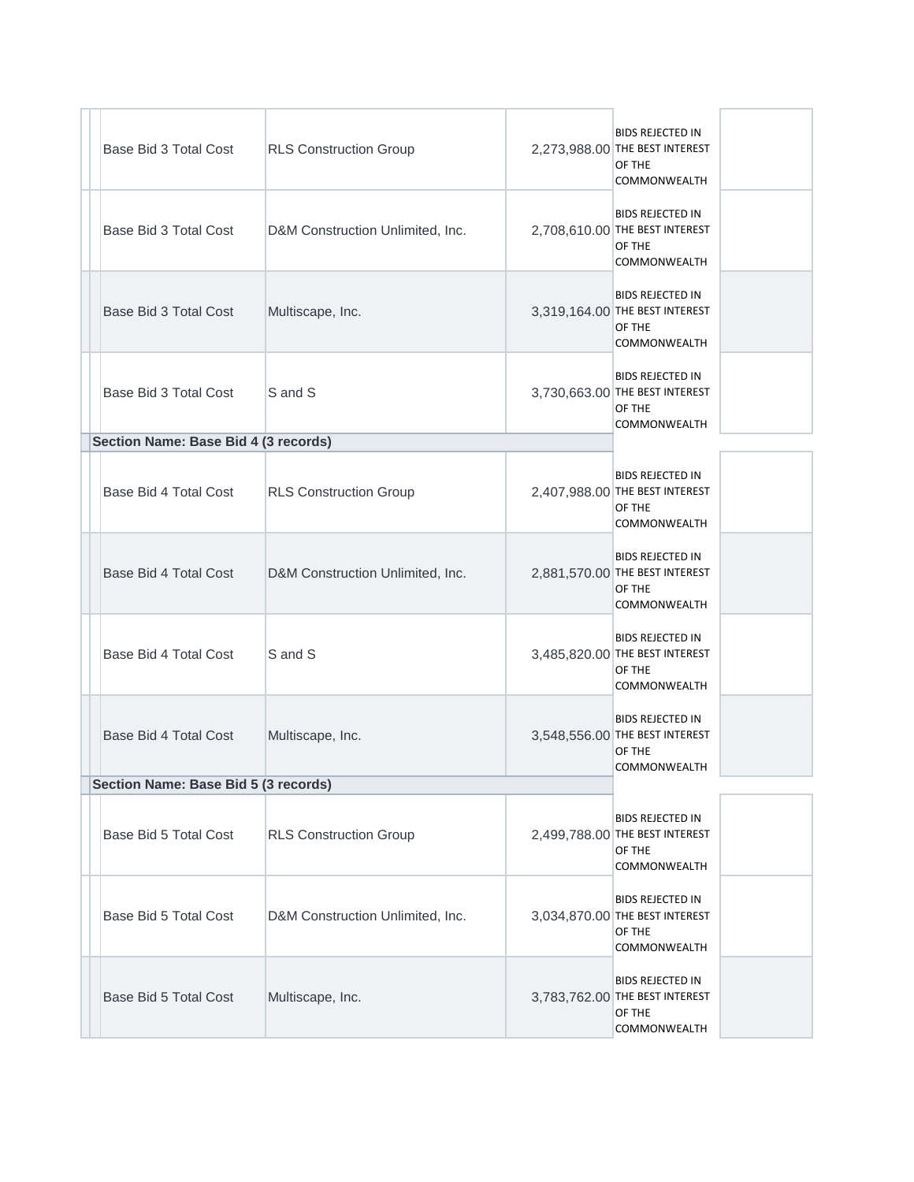| Base Bid 3 Total Cost                | <b>RLS Construction Group</b>    | <b>BIDS REJECTED IN</b><br>2,273,988.00 THE BEST INTEREST<br>OF THE<br><b>COMMONWEALTH</b> |
|--------------------------------------|----------------------------------|--------------------------------------------------------------------------------------------|
| Base Bid 3 Total Cost                | D&M Construction Unlimited, Inc. | <b>BIDS REJECTED IN</b><br>2,708,610.00 THE BEST INTEREST<br>OF THE<br><b>COMMONWEALTH</b> |
| Base Bid 3 Total Cost                | Multiscape, Inc.                 | <b>BIDS REJECTED IN</b><br>3,319,164.00 THE BEST INTEREST<br>OF THE<br><b>COMMONWEALTH</b> |
| Base Bid 3 Total Cost                | S and S                          | <b>BIDS REJECTED IN</b><br>3,730,663.00 THE BEST INTEREST<br>OF THE<br><b>COMMONWEALTH</b> |
| Section Name: Base Bid 4 (3 records) |                                  |                                                                                            |
| Base Bid 4 Total Cost                | <b>RLS Construction Group</b>    | <b>BIDS REJECTED IN</b><br>2,407,988.00 THE BEST INTEREST<br>OF THE<br>COMMONWEALTH        |
| Base Bid 4 Total Cost                | D&M Construction Unlimited, Inc. | <b>BIDS REJECTED IN</b><br>2,881,570.00 THE BEST INTEREST<br>OF THE<br>COMMONWEALTH        |
| Base Bid 4 Total Cost                | S and S                          | <b>BIDS REJECTED IN</b><br>3,485,820.00 THE BEST INTEREST<br>OF THE<br>COMMONWEALTH        |
| Base Bid 4 Total Cost                | Multiscape, Inc.                 | <b>BIDS REJECTED IN</b><br>3,548,556.00 THE BEST INTEREST<br>OF THE<br>COMMONWEALTH        |
| Section Name: Base Bid 5 (3 records) |                                  |                                                                                            |
| Base Bid 5 Total Cost                | <b>RLS Construction Group</b>    | <b>BIDS REJECTED IN</b><br>2,499,788.00 THE BEST INTEREST<br>OF THE<br>COMMONWEALTH        |
| Base Bid 5 Total Cost                | D&M Construction Unlimited, Inc. | <b>BIDS REJECTED IN</b><br>3,034,870.00 THE BEST INTEREST<br>OF THE<br>COMMONWEALTH        |
| Base Bid 5 Total Cost                | Multiscape, Inc.                 | <b>BIDS REJECTED IN</b><br>3,783,762.00 THE BEST INTEREST<br>OF THE<br>COMMONWEALTH        |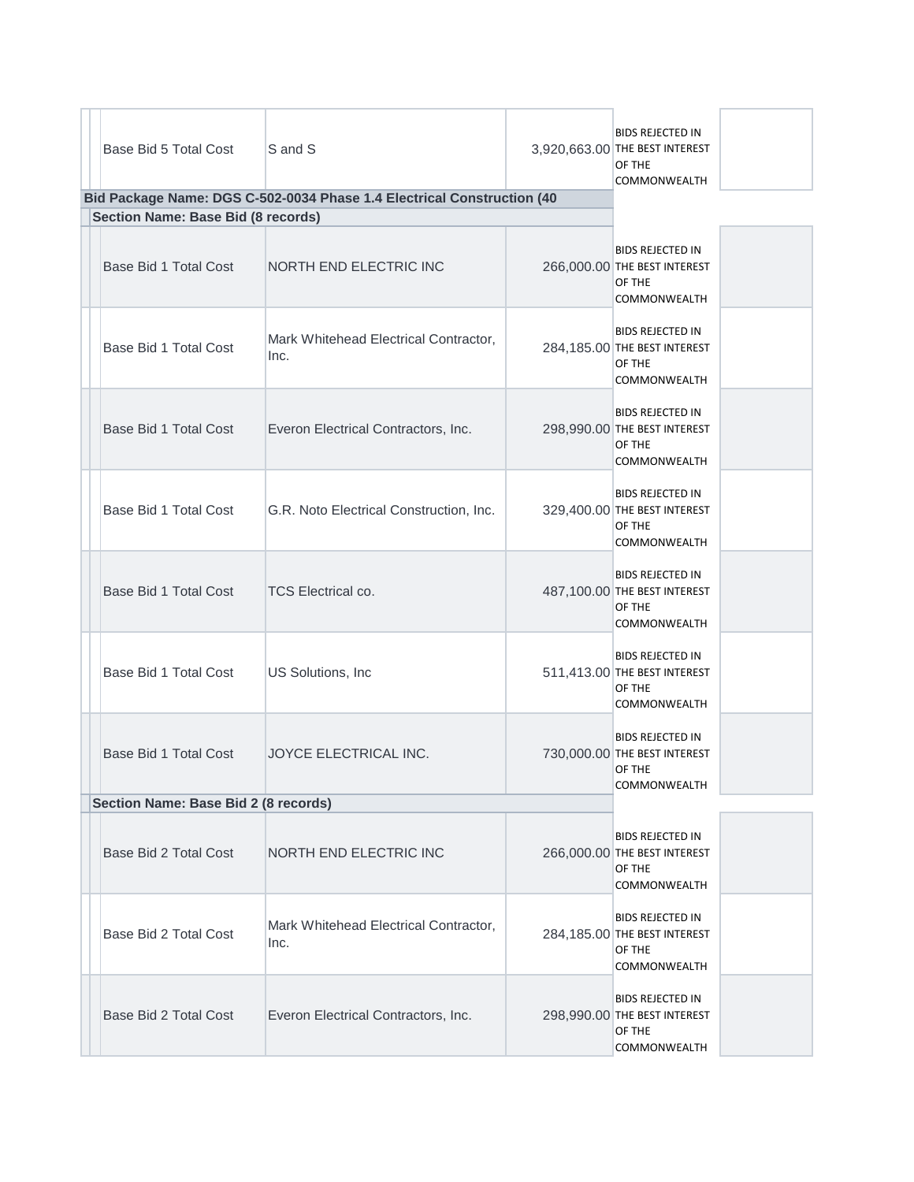| Base Bid 5 Total Cost                | S and S<br>Bid Package Name: DGS C-502-0034 Phase 1.4 Electrical Construction (40 | <b>BIDS REJECTED IN</b><br>3,920,663.00 THE BEST INTEREST<br>OF THE<br>COMMONWEALTH      |  |
|--------------------------------------|-----------------------------------------------------------------------------------|------------------------------------------------------------------------------------------|--|
| Section Name: Base Bid (8 records)   |                                                                                   |                                                                                          |  |
| Base Bid 1 Total Cost                | NORTH END ELECTRIC INC                                                            | <b>BIDS REJECTED IN</b><br>266,000.00 THE BEST INTEREST<br>OF THE<br>COMMONWEALTH        |  |
| Base Bid 1 Total Cost                | Mark Whitehead Electrical Contractor,<br>Inc.                                     | <b>BIDS REJECTED IN</b><br>284,185.00 THE BEST INTEREST<br>OF THE<br>COMMONWEALTH        |  |
| Base Bid 1 Total Cost                | Everon Electrical Contractors, Inc.                                               | <b>BIDS REJECTED IN</b><br>298,990.00 THE BEST INTEREST<br>OF THE<br><b>COMMONWEALTH</b> |  |
| Base Bid 1 Total Cost                | G.R. Noto Electrical Construction, Inc.                                           | <b>BIDS REJECTED IN</b><br>329,400.00 THE BEST INTEREST<br>OF THE<br>COMMONWEALTH        |  |
| Base Bid 1 Total Cost                | TCS Electrical co.                                                                | <b>BIDS REJECTED IN</b><br>487,100.00 THE BEST INTEREST<br>OF THE<br>COMMONWEALTH        |  |
| Base Bid 1 Total Cost                | US Solutions, Inc                                                                 | <b>BIDS REJECTED IN</b><br>511,413.00 THE BEST INTEREST<br>OF THE<br>COMMONWEALTH        |  |
| Base Bid 1 Total Cost                | JOYCE ELECTRICAL INC.                                                             | <b>BIDS REJECTED IN</b><br>730,000.00 THE BEST INTEREST<br>OF THE<br>COMMONWEALTH        |  |
| Section Name: Base Bid 2 (8 records) |                                                                                   |                                                                                          |  |
| Base Bid 2 Total Cost                | NORTH END ELECTRIC INC                                                            | <b>BIDS REJECTED IN</b><br>266,000.00 THE BEST INTEREST<br>OF THE<br>COMMONWEALTH        |  |
| Base Bid 2 Total Cost                | Mark Whitehead Electrical Contractor,<br>Inc.                                     | BIDS REJECTED IN<br>284,185.00 THE BEST INTEREST<br>OF THE<br>COMMONWEALTH               |  |
| Base Bid 2 Total Cost                | Everon Electrical Contractors, Inc.                                               | <b>BIDS REJECTED IN</b><br>298,990.00 THE BEST INTEREST<br>OF THE<br>COMMONWEALTH        |  |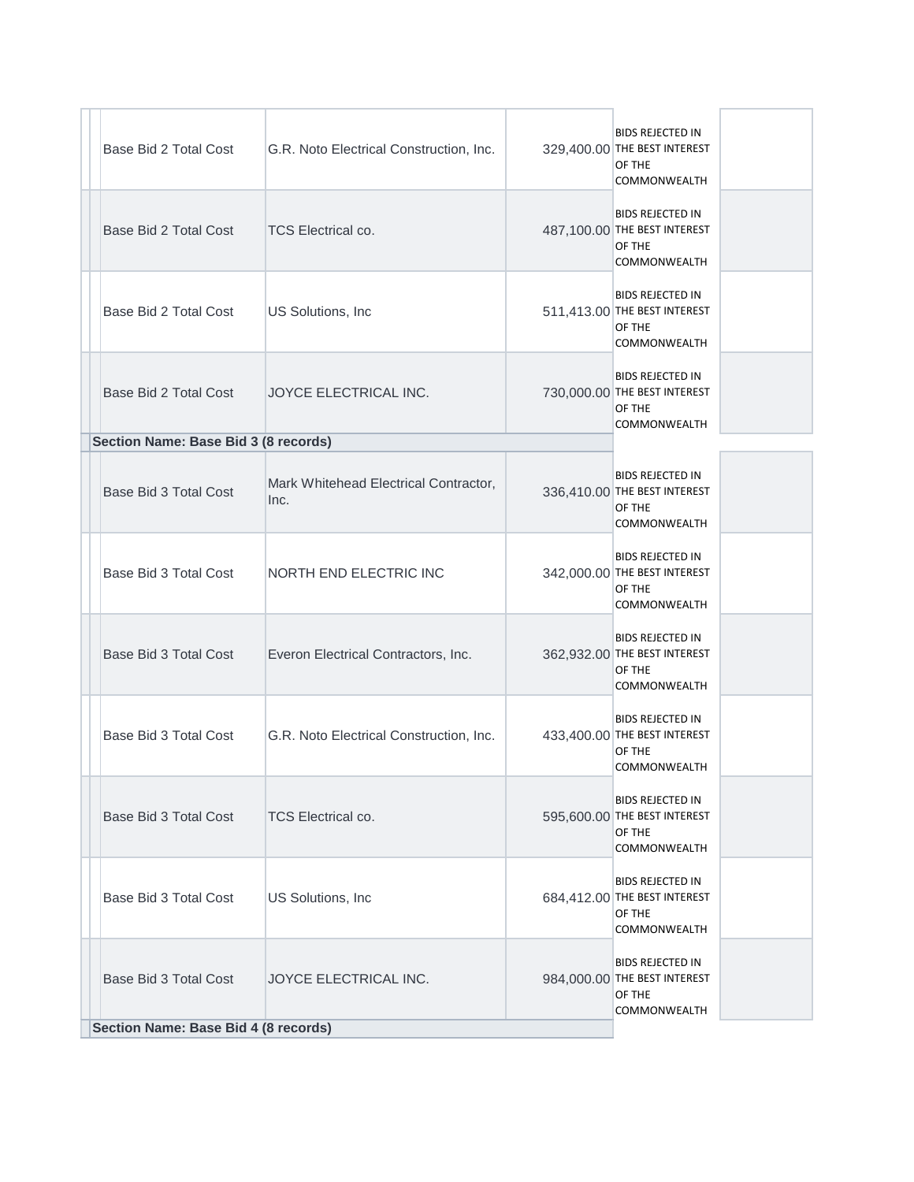| Base Bid 2 Total Cost                | G.R. Noto Electrical Construction, Inc.       | <b>BIDS REJECTED IN</b><br>329,400.00 THE BEST INTEREST<br>OF THE<br>COMMONWEALTH        |  |
|--------------------------------------|-----------------------------------------------|------------------------------------------------------------------------------------------|--|
| Base Bid 2 Total Cost                | <b>TCS Electrical co.</b>                     | <b>BIDS REJECTED IN</b><br>487,100.00 THE BEST INTEREST<br>OF THE<br>COMMONWEALTH        |  |
| Base Bid 2 Total Cost                | US Solutions, Inc.                            | <b>BIDS REJECTED IN</b><br>511,413.00 THE BEST INTEREST<br>OF THE<br>COMMONWEALTH        |  |
| Base Bid 2 Total Cost                | JOYCE ELECTRICAL INC.                         | <b>BIDS REJECTED IN</b><br>730,000.00 THE BEST INTEREST<br>OF THE<br>COMMONWEALTH        |  |
| Section Name: Base Bid 3 (8 records) |                                               |                                                                                          |  |
| Base Bid 3 Total Cost                | Mark Whitehead Electrical Contractor,<br>Inc. | <b>BIDS REJECTED IN</b><br>336,410.00 THE BEST INTEREST<br>OF THE<br>COMMONWEALTH        |  |
| Base Bid 3 Total Cost                | <b>NORTH END ELECTRIC INC</b>                 | <b>BIDS REJECTED IN</b><br>342,000.00 THE BEST INTEREST<br>OF THE<br><b>COMMONWEALTH</b> |  |
| Base Bid 3 Total Cost                | Everon Electrical Contractors, Inc.           | <b>BIDS REJECTED IN</b><br>362,932.00 THE BEST INTEREST<br>OF THE<br><b>COMMONWEALTH</b> |  |
| Base Bid 3 Total Cost                | G.R. Noto Electrical Construction, Inc.       | <b>BIDS REJECTED IN</b><br>433,400.00 THE BEST INTEREST<br>OF THE<br>COMMONWEALTH        |  |
| Base Bid 3 Total Cost                | TCS Electrical co.                            | <b>BIDS REJECTED IN</b><br>595,600.00 THE BEST INTEREST<br>OF THE<br>COMMONWEALTH        |  |
| Base Bid 3 Total Cost                | US Solutions, Inc.                            | <b>BIDS REJECTED IN</b><br>684,412.00 THE BEST INTEREST<br>OF THE<br>COMMONWEALTH        |  |
| Base Bid 3 Total Cost                | JOYCE ELECTRICAL INC.                         | <b>BIDS REJECTED IN</b><br>984,000.00 THE BEST INTEREST<br>OF THE<br>COMMONWEALTH        |  |
| Section Name: Base Bid 4 (8 records) |                                               |                                                                                          |  |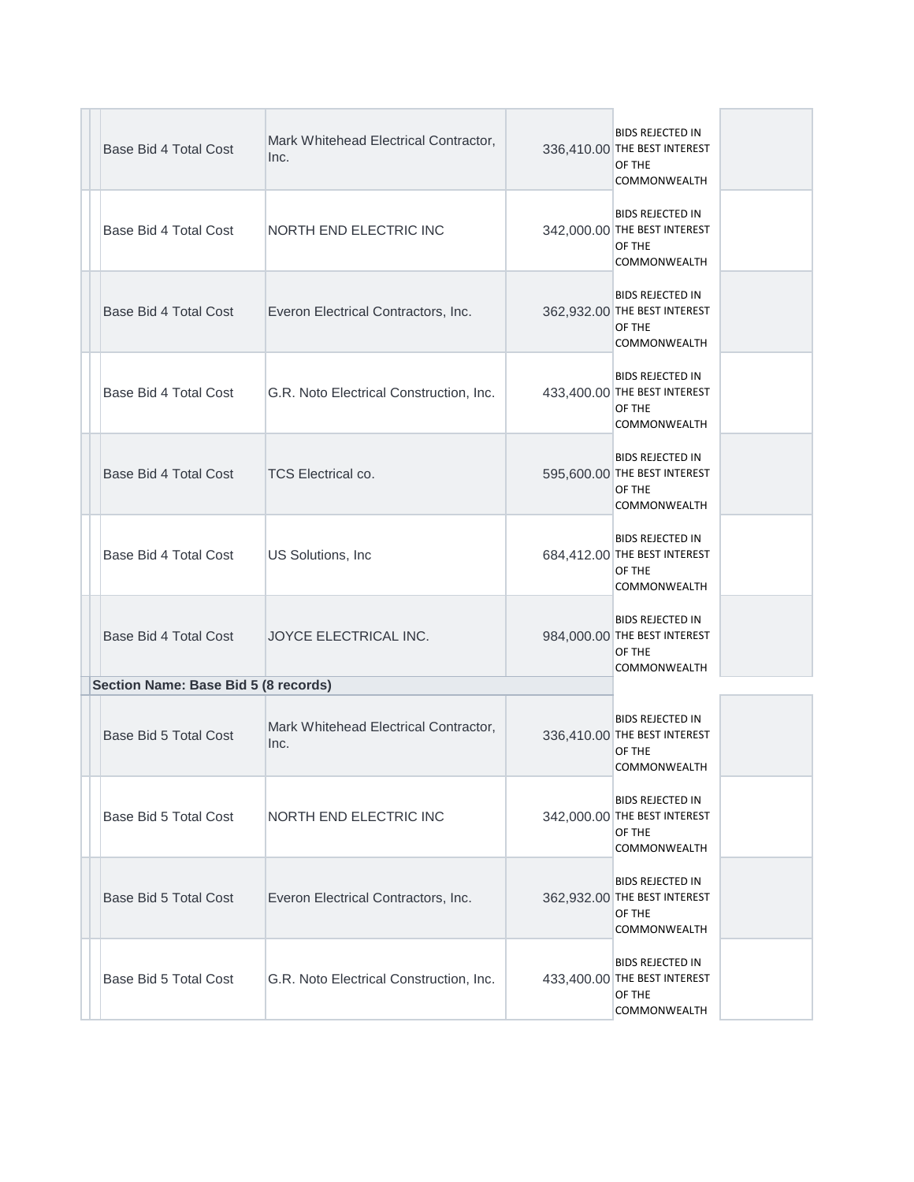| Base Bid 4 Total Cost                | Mark Whitehead Electrical Contractor,<br>Inc. | <b>BIDS REJECTED IN</b><br>336,410.00 THE BEST INTEREST<br>OF THE<br><b>COMMONWEALTH</b> |
|--------------------------------------|-----------------------------------------------|------------------------------------------------------------------------------------------|
| Base Bid 4 Total Cost                | NORTH END ELECTRIC INC                        | <b>BIDS REJECTED IN</b><br>342,000.00 THE BEST INTEREST<br>OF THE<br>COMMONWEALTH        |
| Base Bid 4 Total Cost                | Everon Electrical Contractors, Inc.           | <b>BIDS REJECTED IN</b><br>362,932.00 THE BEST INTEREST<br>OF THE<br>COMMONWEALTH        |
| Base Bid 4 Total Cost                | G.R. Noto Electrical Construction, Inc.       | <b>BIDS REJECTED IN</b><br>433,400.00 THE BEST INTEREST<br>OF THE<br><b>COMMONWEALTH</b> |
| Base Bid 4 Total Cost                | <b>TCS Electrical co.</b>                     | <b>BIDS REJECTED IN</b><br>595,600.00 THE BEST INTEREST<br>OF THE<br>COMMONWEALTH        |
| Base Bid 4 Total Cost                | US Solutions, Inc                             | <b>BIDS REJECTED IN</b><br>684,412.00 THE BEST INTEREST<br>OF THE<br>COMMONWEALTH        |
| <b>Base Bid 4 Total Cost</b>         | <b>JOYCE ELECTRICAL INC.</b>                  | <b>BIDS REJECTED IN</b><br>984,000.00 THE BEST INTEREST<br>OF THE<br>COMMONWEALTH        |
| Section Name: Base Bid 5 (8 records) |                                               |                                                                                          |
| Base Bid 5 Total Cost                | Mark Whitehead Electrical Contractor,<br>Inc. | <b>BIDS REJECTED IN</b><br>336,410.00 THE BEST INTEREST<br>OF THE<br>COMMONWEALTH        |
| Base Bid 5 Total Cost                | NORTH END ELECTRIC INC                        | <b>BIDS REJECTED IN</b><br>342,000.00 THE BEST INTEREST<br>OF THE<br>COMMONWEALTH        |
| Base Bid 5 Total Cost                | Everon Electrical Contractors, Inc.           | <b>BIDS REJECTED IN</b><br>362,932.00 THE BEST INTEREST<br>OF THE<br>COMMONWEALTH        |
| Base Bid 5 Total Cost                | G.R. Noto Electrical Construction, Inc.       | <b>BIDS REJECTED IN</b><br>433,400.00 THE BEST INTEREST<br>OF THE<br>COMMONWEALTH        |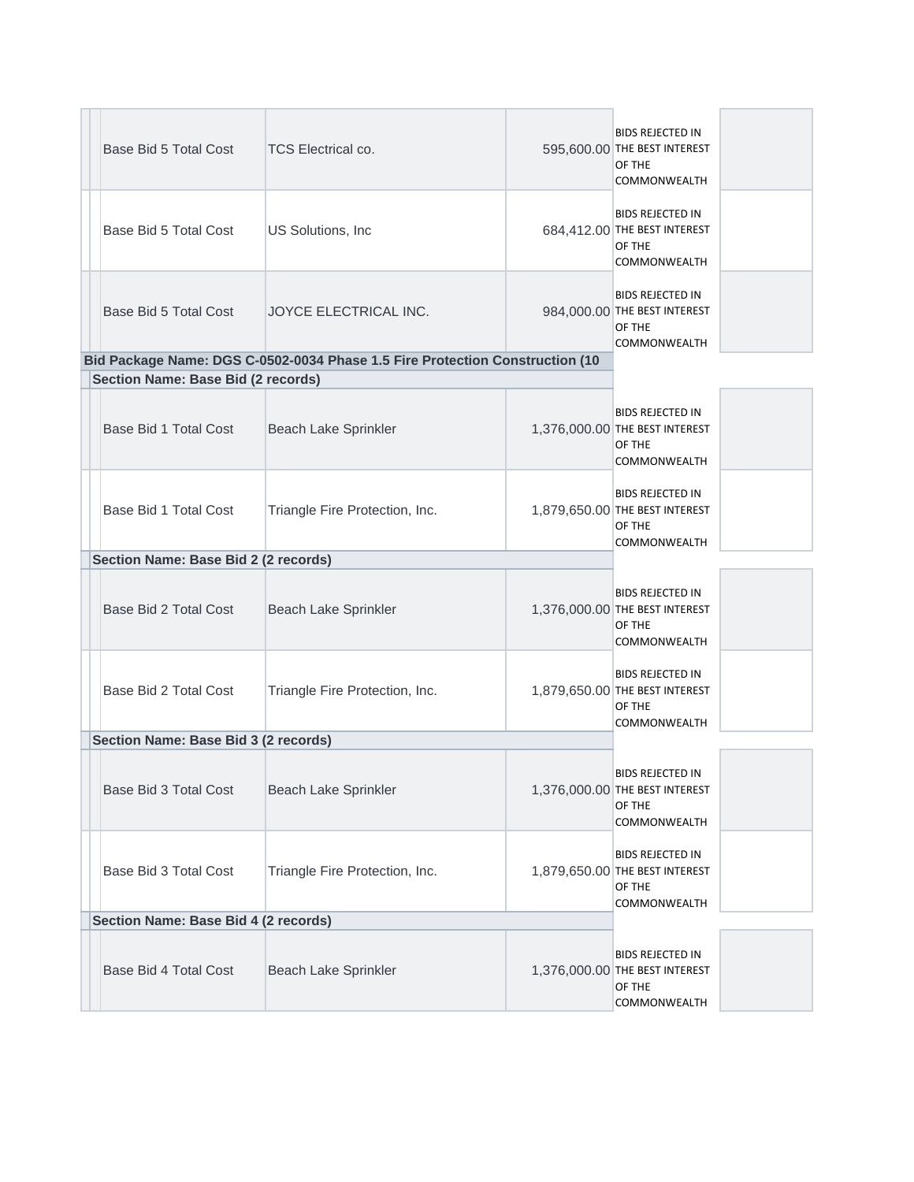| Base Bid 5 Total Cost                | <b>TCS Electrical co.</b>                                                    |  | <b>BIDS REJECTED IN</b><br>595,600.00 THE BEST INTEREST<br>OF THE<br><b>COMMONWEALTH</b>   |
|--------------------------------------|------------------------------------------------------------------------------|--|--------------------------------------------------------------------------------------------|
| Base Bid 5 Total Cost                | US Solutions, Inc.                                                           |  | <b>BIDS REJECTED IN</b><br>684,412.00 THE BEST INTEREST<br>OF THE<br>COMMONWEALTH          |
| Base Bid 5 Total Cost                | JOYCE ELECTRICAL INC.                                                        |  | <b>BIDS REJECTED IN</b><br>984,000.00 THE BEST INTEREST<br>OF THE<br>COMMONWEALTH          |
|                                      | Bid Package Name: DGS C-0502-0034 Phase 1.5 Fire Protection Construction (10 |  |                                                                                            |
| Section Name: Base Bid (2 records)   |                                                                              |  |                                                                                            |
| Base Bid 1 Total Cost                | Beach Lake Sprinkler                                                         |  | <b>BIDS REJECTED IN</b><br>1,376,000.00 THE BEST INTEREST<br>OF THE<br><b>COMMONWEALTH</b> |
| Base Bid 1 Total Cost                | Triangle Fire Protection, Inc.                                               |  | <b>BIDS REJECTED IN</b><br>1,879,650.00 THE BEST INTEREST<br>OF THE<br>COMMONWEALTH        |
| Section Name: Base Bid 2 (2 records) |                                                                              |  |                                                                                            |
| Base Bid 2 Total Cost                | Beach Lake Sprinkler                                                         |  | <b>BIDS REJECTED IN</b><br>1,376,000.00 THE BEST INTEREST<br>OF THE<br>COMMONWEALTH        |
| Base Bid 2 Total Cost                | Triangle Fire Protection, Inc.                                               |  | <b>BIDS REJECTED IN</b><br>1,879,650.00 THE BEST INTEREST<br>OF THE<br>COMMONWEALTH        |
| Section Name: Base Bid 3 (2 records) |                                                                              |  |                                                                                            |
| Base Bid 3 Total Cost                | Beach Lake Sprinkler                                                         |  | <b>BIDS REJECTED IN</b><br>1,376,000.00 THE BEST INTEREST<br>OF THE<br>COMMONWEALTH        |
| Base Bid 3 Total Cost                | Triangle Fire Protection, Inc.                                               |  | <b>BIDS REJECTED IN</b><br>1,879,650.00 THE BEST INTEREST<br>OF THE<br>COMMONWEALTH        |
| Section Name: Base Bid 4 (2 records) |                                                                              |  |                                                                                            |
| Base Bid 4 Total Cost                | Beach Lake Sprinkler                                                         |  | <b>BIDS REJECTED IN</b><br>1,376,000.00 THE BEST INTEREST<br>OF THE<br>COMMONWEALTH        |